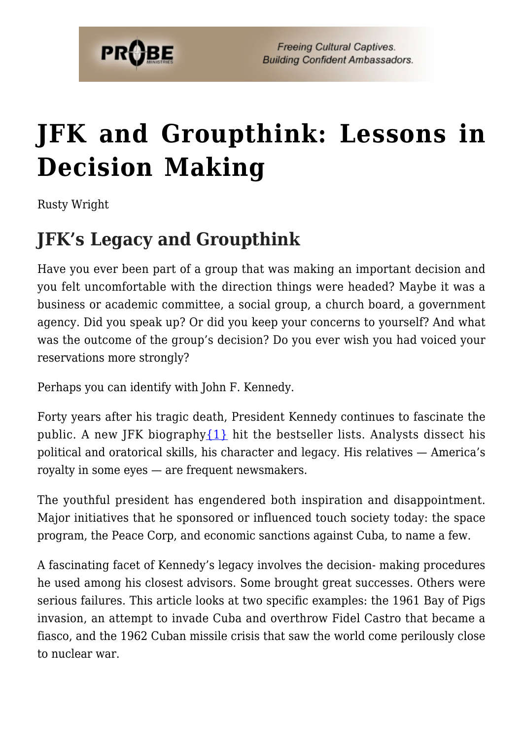

# **[JFK and Groupthink: Lessons in](https://probe.org/jfk-and-groupthink-lessons-in-decision-making/) [Decision Making](https://probe.org/jfk-and-groupthink-lessons-in-decision-making/)**

Rusty Wright

# **JFK's Legacy and Groupthink**

Have you ever been part of a group that was making an important decision and you felt uncomfortable with the direction things were headed? Maybe it was a business or academic committee, a social group, a church board, a government agency. Did you speak up? Or did you keep your concerns to yourself? And what was the outcome of the group's decision? Do you ever wish you had voiced your reservations more strongly?

Perhaps you can identify with John F. Kennedy.

Forty years after his tragic death, President Kennedy continues to fascinate the public. A new JFK biography  $\{1\}$  hit the bestseller lists. Analysts dissect his political and oratorical skills, his character and legacy. His relatives — America's royalty in some eyes — are frequent newsmakers.

The youthful president has engendered both inspiration and disappointment. Major initiatives that he sponsored or influenced touch society today: the space program, the Peace Corp, and economic sanctions against Cuba, to name a few.

A fascinating facet of Kennedy's legacy involves the decision- making procedures he used among his closest advisors. Some brought great successes. Others were serious failures. This article looks at two specific examples: the 1961 Bay of Pigs invasion, an attempt to invade Cuba and overthrow Fidel Castro that became a fiasco, and the 1962 Cuban missile crisis that saw the world come perilously close to nuclear war.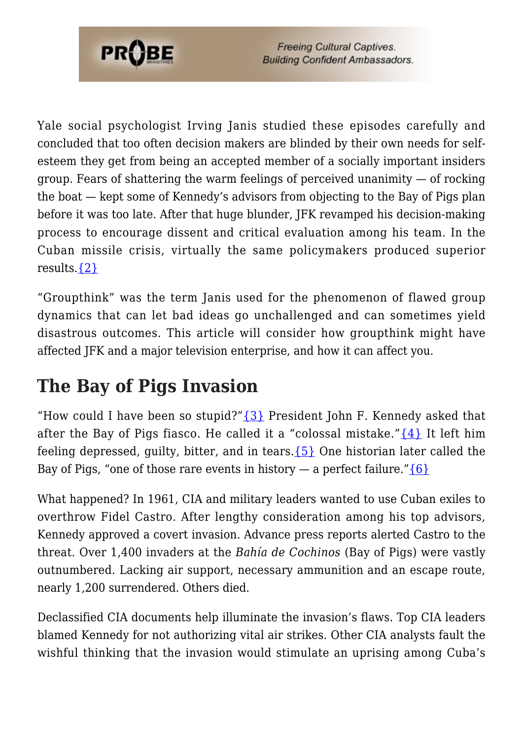

Yale social psychologist Irving Janis studied these episodes carefully and concluded that too often decision makers are blinded by their own needs for selfesteem they get from being an accepted member of a socially important insiders group. Fears of shattering the warm feelings of perceived unanimity  $-$  of rocking the boat — kept some of Kennedy's advisors from objecting to the Bay of Pigs plan before it was too late. After that huge blunder, JFK revamped his decision-making process to encourage dissent and critical evaluation among his team. In the Cuban missile crisis, virtually the same policymakers produced superior results[.{2}](#page-7-1)

"Groupthink" was the term Janis used for the phenomenon of flawed group dynamics that can let bad ideas go unchallenged and can sometimes yield disastrous outcomes. This article will consider how groupthink might have affected JFK and a major television enterprise, and how it can affect you.

#### **The Bay of Pigs Invasion**

"How could I have been so stupid?" $\{3\}$  President John F. Kennedy asked that after the Bay of Pigs fiasco. He called it a "colossal mistake." $\{4\}$  It left him feeling depressed, guilty, bitter, and in tears.  $\{5\}$  One historian later called the Bay of Pigs, "one of those rare events in history — a perfect failure." $\{6\}$ 

What happened? In 1961, CIA and military leaders wanted to use Cuban exiles to overthrow Fidel Castro. After lengthy consideration among his top advisors, Kennedy approved a covert invasion. Advance press reports alerted Castro to the threat. Over 1,400 invaders at the *Bahía de Cochinos* (Bay of Pigs) were vastly outnumbered. Lacking air support, necessary ammunition and an escape route, nearly 1,200 surrendered. Others died.

Declassified CIA documents help illuminate the invasion's flaws. Top CIA leaders blamed Kennedy for not authorizing vital air strikes. Other CIA analysts fault the wishful thinking that the invasion would stimulate an uprising among Cuba's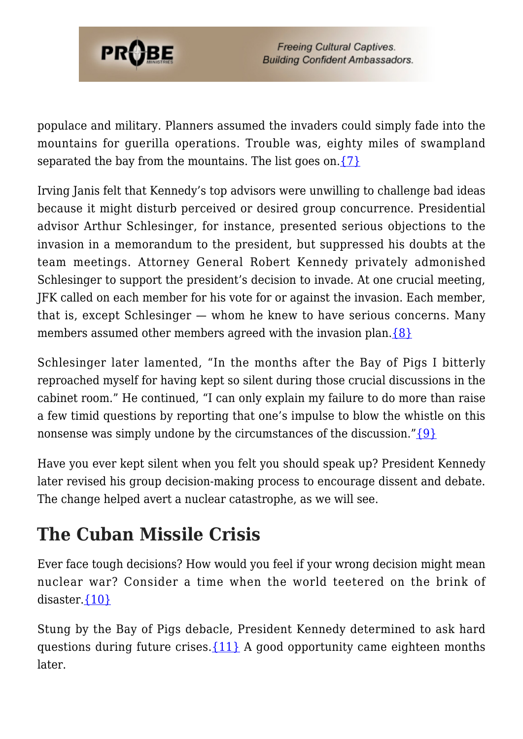

populace and military. Planners assumed the invaders could simply fade into the mountains for guerilla operations. Trouble was, eighty miles of swampland separated the bay from the mountains. The list goes on.  $\{7\}$ 

Irving Janis felt that Kennedy's top advisors were unwilling to challenge bad ideas because it might disturb perceived or desired group concurrence. Presidential advisor Arthur Schlesinger, for instance, presented serious objections to the invasion in a memorandum to the president, but suppressed his doubts at the team meetings. Attorney General Robert Kennedy privately admonished Schlesinger to support the president's decision to invade. At one crucial meeting, JFK called on each member for his vote for or against the invasion. Each member, that is, except Schlesinger — whom he knew to have serious concerns. Many members assumed other members agreed with the invasion plan.  $\{8\}$ 

Schlesinger later lamented, "In the months after the Bay of Pigs I bitterly reproached myself for having kept so silent during those crucial discussions in the cabinet room." He continued, "I can only explain my failure to do more than raise a few timid questions by reporting that one's impulse to blow the whistle on this nonsense was simply undone by the circumstances of the discussion." $\{9\}$ 

Have you ever kept silent when you felt you should speak up? President Kennedy later revised his group decision-making process to encourage dissent and debate. The change helped avert a nuclear catastrophe, as we will see.

### **The Cuban Missile Crisis**

Ever face tough decisions? How would you feel if your wrong decision might mean nuclear war? Consider a time when the world teetered on the brink of disaster. ${10}$ 

Stung by the Bay of Pigs debacle, President Kennedy determined to ask hard questions during future crises.  $\{11\}$  A good opportunity came eighteen months later.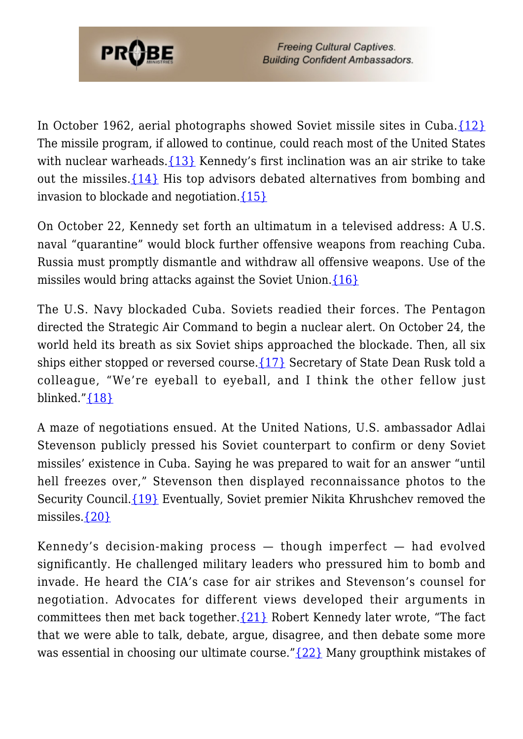

In October 1962, aerial photographs showed Soviet missile sites in Cuba. $\{12\}$ The missile program, if allowed to continue, could reach most of the United States with nuclear warheads.  $\{13\}$  Kennedy's first inclination was an air strike to take out the missiles.[{14}](#page-8-3) His top advisors debated alternatives from bombing and invasion to blockade and negotiation.  $\{15\}$ 

On October 22, Kennedy set forth an ultimatum in a televised address: A U.S. naval "quarantine" would block further offensive weapons from reaching Cuba. Russia must promptly dismantle and withdraw all offensive weapons. Use of the missiles would bring attacks against the Soviet Union.[{16}](#page-8-5)

The U.S. Navy blockaded Cuba. Soviets readied their forces. The Pentagon directed the Strategic Air Command to begin a nuclear alert. On October 24, the world held its breath as six Soviet ships approached the blockade. Then, all six ships either stopped or reversed course. ${17}$  Secretary of State Dean Rusk told a colleague, "We're eyeball to eyeball, and I think the other fellow just blinked." $\{18\}$ 

A maze of negotiations ensued. At the United Nations, U.S. ambassador Adlai Stevenson publicly pressed his Soviet counterpart to confirm or deny Soviet missiles' existence in Cuba. Saying he was prepared to wait for an answer "until hell freezes over," Stevenson then displayed reconnaissance photos to the Security Council.[{19}](#page-8-8) Eventually, Soviet premier Nikita Khrushchev removed the missiles[.{20}](#page-8-9)

Kennedy's decision-making process — though imperfect — had evolved significantly. He challenged military leaders who pressured him to bomb and invade. He heard the CIA's case for air strikes and Stevenson's counsel for negotiation. Advocates for different views developed their arguments in committees then met back together.  $\{21\}$  Robert Kennedy later wrote, "The fact that we were able to talk, debate, argue, disagree, and then debate some more was essential in choosing our ultimate course." ${22}$  Many groupthink mistakes of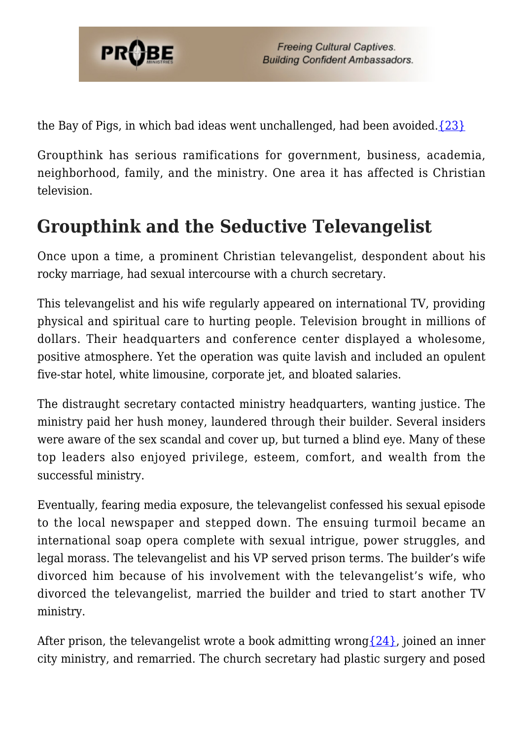

the Bay of Pigs, in which bad ideas went unchallenged, had been avoided. $\{23\}$ 

Groupthink has serious ramifications for government, business, academia, neighborhood, family, and the ministry. One area it has affected is Christian television.

## **Groupthink and the Seductive Televangelist**

Once upon a time, a prominent Christian televangelist, despondent about his rocky marriage, had sexual intercourse with a church secretary.

This televangelist and his wife regularly appeared on international TV, providing physical and spiritual care to hurting people. Television brought in millions of dollars. Their headquarters and conference center displayed a wholesome, positive atmosphere. Yet the operation was quite lavish and included an opulent five-star hotel, white limousine, corporate jet, and bloated salaries.

The distraught secretary contacted ministry headquarters, wanting justice. The ministry paid her hush money, laundered through their builder. Several insiders were aware of the sex scandal and cover up, but turned a blind eye. Many of these top leaders also enjoyed privilege, esteem, comfort, and wealth from the successful ministry.

Eventually, fearing media exposure, the televangelist confessed his sexual episode to the local newspaper and stepped down. The ensuing turmoil became an international soap opera complete with sexual intrigue, power struggles, and legal morass. The televangelist and his VP served prison terms. The builder's wife divorced him because of his involvement with the televangelist's wife, who divorced the televangelist, married the builder and tried to start another TV ministry.

After prison, the televangelist wrote a book admitting wrong  $\{24\}$ , joined an inner city ministry, and remarried. The church secretary had plastic surgery and posed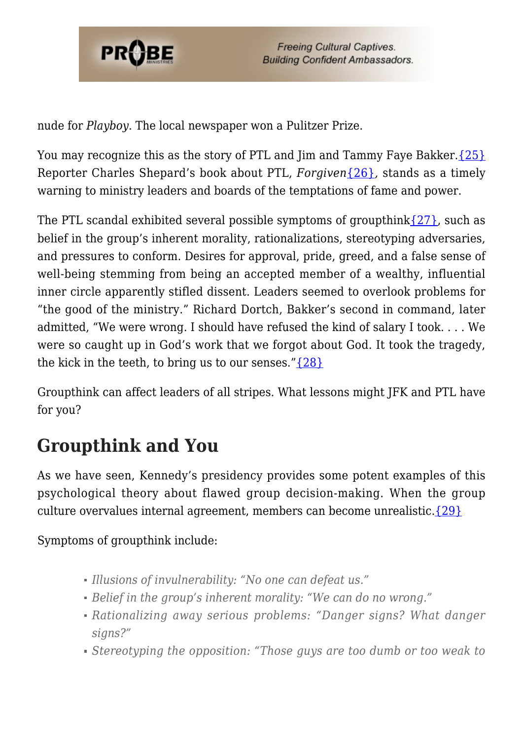

nude for *Playboy*. The local newspaper won a Pulitzer Prize.

You may recognize this as the story of PTL and Jim and Tammy Faye Bakker. [{25}](#page-9-0) Reporter Charles Shepard's book about PTL, *Forgiven*[{26}](#page-9-1)*,* stands as a timely warning to ministry leaders and boards of the temptations of fame and power.

The PTL scandal exhibited several possible symptoms of groupthink $\{27\}$ , such as belief in the group's inherent morality, rationalizations, stereotyping adversaries, and pressures to conform. Desires for approval, pride, greed, and a false sense of well-being stemming from being an accepted member of a wealthy, influential inner circle apparently stifled dissent. Leaders seemed to overlook problems for "the good of the ministry." Richard Dortch, Bakker's second in command, later admitted, "We were wrong. I should have refused the kind of salary I took. . . . We were so caught up in God's work that we forgot about God. It took the tragedy, the kick in the teeth, to bring us to our senses." $\{28\}$ 

Groupthink can affect leaders of all stripes. What lessons might JFK and PTL have for you?

# **Groupthink and You**

As we have seen, Kennedy's presidency provides some potent examples of this psychological theory about flawed group decision-making. When the group culture overvalues internal agreement, members can become unrealistic. $\{29\}$ 

Symptoms of groupthink include:

- *Illusions of invulnerability: "No one can defeat us."*
- *Belief in the group's inherent morality: "We can do no wrong."*
- *Rationalizing away serious problems: "Danger signs? What danger signs?"*
- *Stereotyping the opposition: "Those guys are too dumb or too weak to*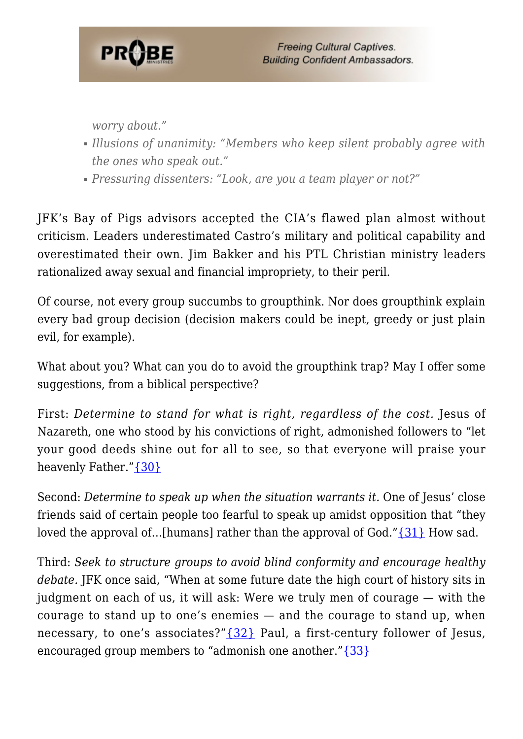

*worry about."*

- *Illusions of unanimity: "Members who keep silent probably agree with the ones who speak out."*
- *Pressuring dissenters: "Look, are you a team player or not?"*

JFK's Bay of Pigs advisors accepted the CIA's flawed plan almost without criticism. Leaders underestimated Castro's military and political capability and overestimated their own. Jim Bakker and his PTL Christian ministry leaders rationalized away sexual and financial impropriety, to their peril.

Of course, not every group succumbs to groupthink. Nor does groupthink explain every bad group decision (decision makers could be inept, greedy or just plain evil, for example).

What about you? What can you do to avoid the groupthink trap? May I offer some suggestions, from a biblical perspective?

First: *Determine to stand for what is right, regardless of the cost.* Jesus of Nazareth, one who stood by his convictions of right, admonished followers to "let your good deeds shine out for all to see, so that everyone will praise your heavenly Father."[{30}](#page-9-5)

Second: *Determine to speak up when the situation warrants it.* One of Jesus' close friends said of certain people too fearful to speak up amidst opposition that "they loved the approval of…[humans] rather than the approval of God."[{31}](#page-9-6) How sad.

Third: *Seek to structure groups to avoid blind conformity and encourage healthy debate.* JFK once said, "When at some future date the high court of history sits in judgment on each of us, it will ask: Were we truly men of courage — with the courage to stand up to one's enemies — and the courage to stand up, when necessary, to one's associates?" $\{32\}$  Paul, a first-century follower of Jesus, encouraged group members to "admonish one another." $\{33\}$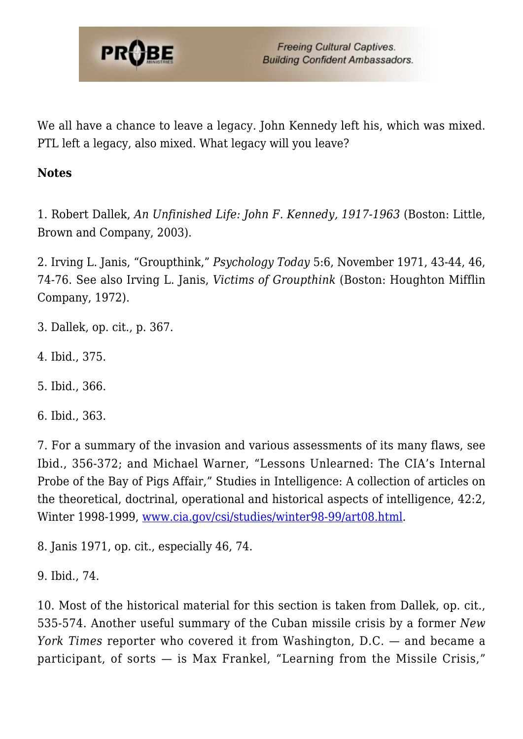

We all have a chance to leave a legacy. John Kennedy left his, which was mixed. PTL left a legacy, also mixed. What legacy will you leave?

#### **Notes**

<span id="page-7-1"></span><span id="page-7-0"></span>1. Robert Dallek, *An Unfinished Life: John F. Kennedy, 1917-1963* (Boston: Little, Brown and Company, 2003).

2. Irving L. Janis, "Groupthink," *Psychology Today* 5:6, November 1971, 43-44, 46, 74-76. See also Irving L. Janis, *Victims of Groupthink* (Boston: Houghton Mifflin Company, 1972).

- <span id="page-7-3"></span><span id="page-7-2"></span>3. Dallek, op. cit., p. 367.
- <span id="page-7-4"></span>4. Ibid., 375.
- <span id="page-7-5"></span>5. Ibid., 366.
- <span id="page-7-6"></span>6. Ibid., 363.

7. For a summary of the invasion and various assessments of its many flaws, see Ibid., 356-372; and Michael Warner, "Lessons Unlearned: The CIA's Internal Probe of the Bay of Pigs Affair," Studies in Intelligence: A collection of articles on the theoretical, doctrinal, operational and historical aspects of intelligence, 42:2, Winter 1998-1999, [www.cia.gov/csi/studies/winter98-99/art08.html](http://www.cia.gov/csi/studies/winter98-99/art08.html).

<span id="page-7-8"></span><span id="page-7-7"></span>8. Janis 1971, op. cit., especially 46, 74.

<span id="page-7-9"></span>9. Ibid., 74.

10. Most of the historical material for this section is taken from Dallek, op. cit., 535-574. Another useful summary of the Cuban missile crisis by a former *New York Times* reporter who covered it from Washington, D.C. — and became a participant, of sorts — is Max Frankel, "Learning from the Missile Crisis,"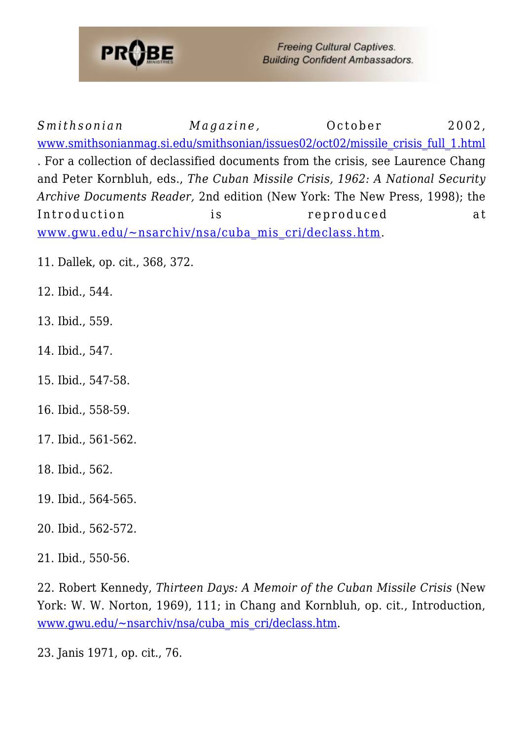

**Freeing Cultural Captives. Building Confident Ambassadors.** 

*Smithsonian Magazine*, **October** 2002, [www.smithsonianmag.si.edu/smithsonian/issues02/oct02/missile\\_crisis\\_full\\_1.html](http://www.smithsonianmag.si.edu/smithsonian/issues02/oct02/missile_crisis_full_1.html) . For a collection of declassified documents from the crisis, see Laurence Chang and Peter Kornbluh, eds., *The Cuban Missile Crisis, 1962: A National Security Archive Documents Reader,* 2nd edition (New York: The New Press, 1998); the Introduction is reproduced at [www.gwu.edu/~nsarchiv/nsa/cuba\\_mis\\_cri/declass.htm.](http://www.gwu.edu/~nsarchiv/nsa/cuba_mis_cri/declass.htm)

- <span id="page-8-1"></span><span id="page-8-0"></span>11. Dallek, op. cit., 368, 372.
- <span id="page-8-2"></span>12. Ibid., 544.
- <span id="page-8-3"></span>13. Ibid., 559.
- <span id="page-8-4"></span>14. Ibid., 547.
- <span id="page-8-5"></span>15. Ibid., 547-58.
- <span id="page-8-6"></span>16. Ibid., 558-59.
- <span id="page-8-7"></span>17. Ibid., 561-562.
- <span id="page-8-8"></span>18. Ibid., 562.
- <span id="page-8-9"></span>19. Ibid., 564-565.
- <span id="page-8-10"></span>20. Ibid., 562-572.
- <span id="page-8-11"></span>21. Ibid., 550-56.

<span id="page-8-12"></span>22. Robert Kennedy, *Thirteen Days: A Memoir of the Cuban Missile Crisis* (New York: W. W. Norton, 1969), 111; in Chang and Kornbluh, op. cit., Introduction, [www.gwu.edu/~nsarchiv/nsa/cuba\\_mis\\_cri/declass.htm.](http://www.gwu.edu/~nsarchiv/nsa/cuba_mis_cri/declass.htm)

<span id="page-8-13"></span>23. Janis 1971, op. cit., 76.